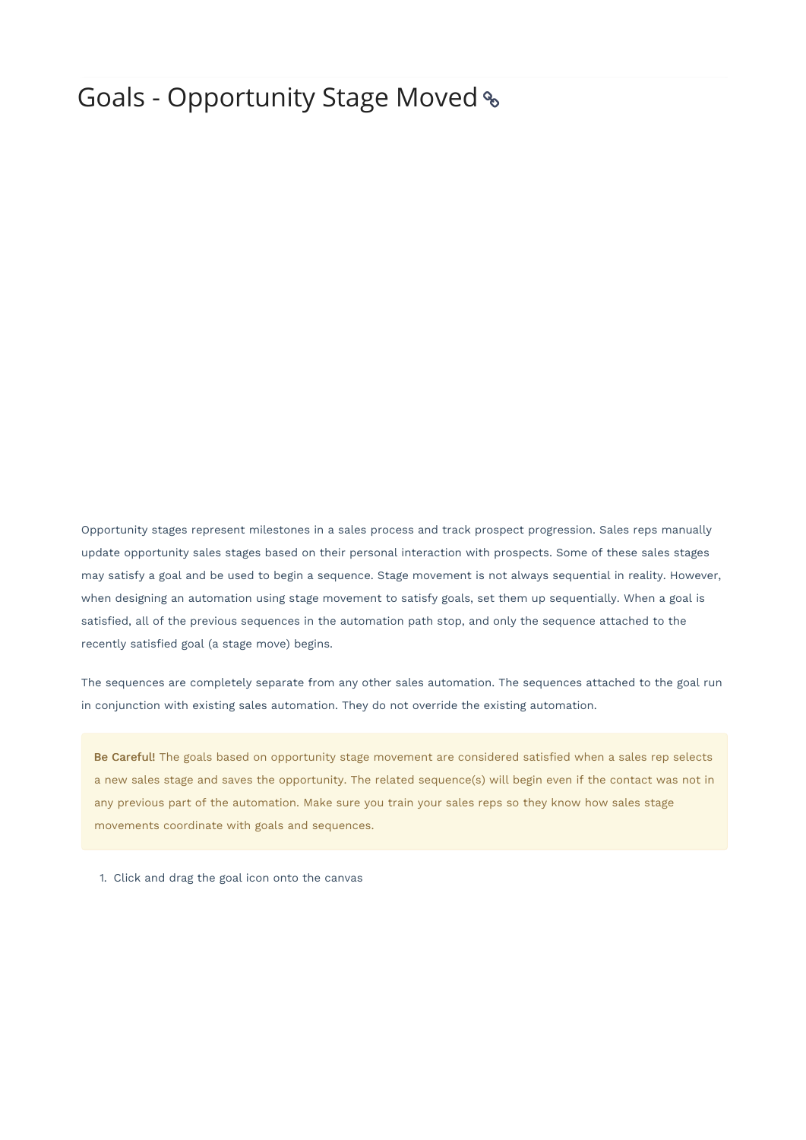## Goals - Opportunity Stage Moved

Opportunity stages represent milestones in a sales process and track prospect progression. Sales reps manually update opportunity sales stages based on their personal interaction with prospects. Some of these sales stages may satisfy a goal and be used to begin a sequence. Stage movement is not always sequential in reality. However, when designing an automation using stage movement to satisfy goals, set them up sequentially. When a goal is satisfied, all of the previous sequences in the automation path stop, and only the sequence attached to the recently satisfied goal (a stage move) begins.

The sequences are completely separate from any other sales automation. The sequences attached to the goal run in conjunction with existing sales automation. They do not override the existing automation.

Be Careful! The goals based on opportunity stage movement are considered satisfied when a sales rep selects a new sales stage and saves the opportunity. The related sequence(s) will begin even if the contact was not in any previous part of the automation. Make sure you train your sales reps so they know how sales stage movements coordinate with goals and sequences.

1. Click and drag the goal icon onto the canvas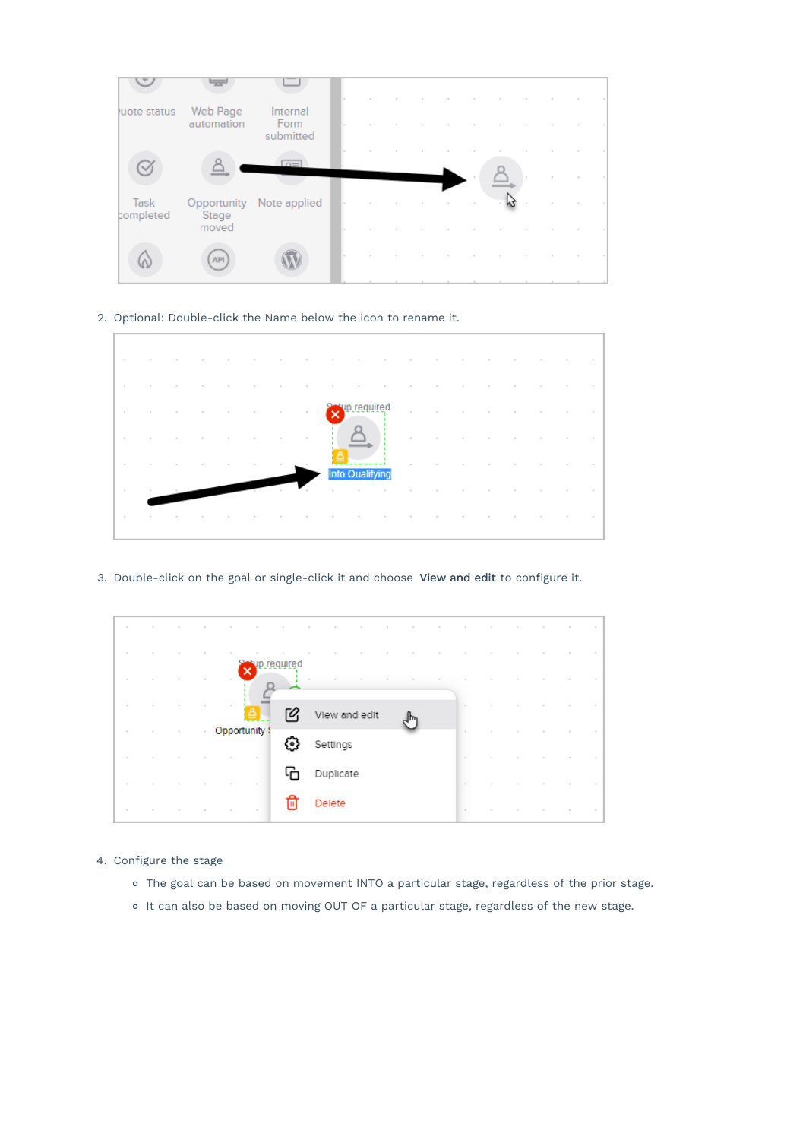

2. Optional: Double-click the Name below the icon to rename it.

|                         |                                 |                                                                                 |                         |                          |                          |                  | the contract of the contract of the contract of the contract of the contract of the contract of the contract of |           |  |                                                 |                          |                                                                                                                 |                                     |  |
|-------------------------|---------------------------------|---------------------------------------------------------------------------------|-------------------------|--------------------------|--------------------------|------------------|-----------------------------------------------------------------------------------------------------------------|-----------|--|-------------------------------------------------|--------------------------|-----------------------------------------------------------------------------------------------------------------|-------------------------------------|--|
|                         |                                 |                                                                                 |                         |                          |                          |                  |                                                                                                                 |           |  |                                                 |                          |                                                                                                                 |                                     |  |
| the state of the        |                                 | the contract of the contract of the contract of the contract of the contract of |                         | <b>Contract Contract</b> | <b>Contract Contract</b> | the state of the |                                                                                                                 |           |  | the contract of the contract of the contract of | <b>Contract Contract</b> |                                                                                                                 | the contract of the contract of the |  |
| the control of the con- |                                 |                                                                                 | the control of the con- |                          |                          |                  |                                                                                                                 |           |  |                                                 |                          | the contract of the contract of the contract of the contract of the contract of the contract of the contract of |                                     |  |
| the state of the con-   | the contract of the contract of |                                                                                 |                         |                          |                          |                  |                                                                                                                 | Into Qual |  |                                                 |                          | the contract of the contract of the contract of the contract of the contract of the contract of the contract of |                                     |  |
| $\sim$                  |                                 |                                                                                 |                         |                          |                          |                  |                                                                                                                 |           |  |                                                 |                          | the contract of the contract of the contract of the contract of the contract of the contract of the contract of |                                     |  |
| the state of the        |                                 |                                                                                 |                         |                          |                          |                  |                                                                                                                 |           |  |                                                 |                          |                                                                                                                 |                                     |  |
|                         |                                 |                                                                                 |                         |                          |                          |                  |                                                                                                                 |           |  |                                                 |                          |                                                                                                                 |                                     |  |

3. Double-click on the goal or single-click it and choose View and edit to configure it.

| $\sim$ | $\sim$ | $\sim$ | $\sim$ | $\sim$<br>$\sim$ |             | $\sim$        | <b>Contract Contract</b> | <b>Contract Contract</b> |        | $\sim$ | <b>Contract Contract</b> | $\sim$ | $\sim$ | <b>Contract Contract</b> | the control of     |        |
|--------|--------|--------|--------|------------------|-------------|---------------|--------------------------|--------------------------|--------|--------|--------------------------|--------|--------|--------------------------|--------------------|--------|
| $\sim$ |        |        |        | $\sim$           |             |               |                          |                          |        |        |                          |        |        |                          | $\sim$             |        |
| $\sim$ | $\sim$ | $\sim$ | $\sim$ | ×                | up required | $\sim$        | $\sim$                   |                          | $\sim$ |        |                          |        |        | $\sim$                   | $\sim$             | $\sim$ |
| $\sim$ |        | $\sim$ | $\sim$ | $\sim$<br>≜      |             | View and edit |                          |                          | յհղ    |        | $\sim$                   |        | $\sim$ | <b>Contract Street</b>   | the control of the |        |
| $\sim$ | $\sim$ | $\sim$ |        | Opportunity !    | €.          | Settings      |                          |                          |        |        | $\sim$                   |        |        |                          | $\sim$             |        |
| $\sim$ |        | $\sim$ | $\sim$ | $\sim$<br>$\sim$ |             |               |                          |                          |        |        | u.                       |        |        |                          | $\sim$             |        |
| $\sim$ | $\sim$ | $\sim$ | $\sim$ | $\sim$<br>$\sim$ |             | Duplicate     |                          |                          |        |        | $\sim$                   | $\sim$ | $\sim$ | $\sim$                   | $\sim$             |        |
| $\sim$ |        | $\sim$ | $\sim$ | $\sim$<br>$\sim$ | Ш           | Delete        |                          |                          |        |        | $\sim$                   |        | $\sim$ | $\sim$                   | $\sim$             | $\sim$ |

- 4. Configure the stage
	- The goal can be based on movement INTO a particular stage, regardless of the prior stage.
	- o It can also be based on moving OUT OF a particular stage, regardless of the new stage.